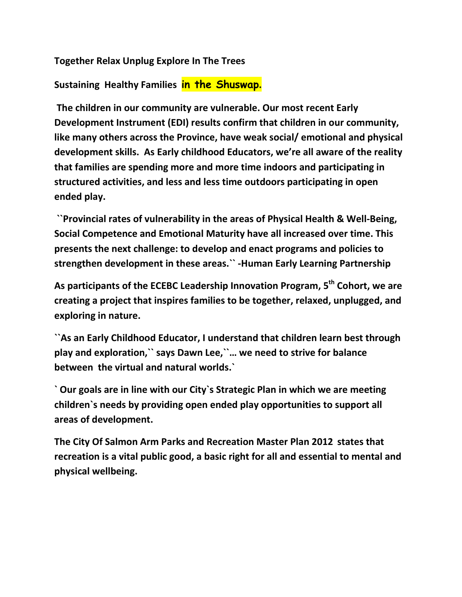**Together Relax Unplug Explore In The Trees**

**Sustaining Healthy Families in the Shuswap.**

**The children in our community are vulnerable. Our most recent Early Development Instrument (EDI) results confirm that children in our community, like many others across the Province, have weak social/ emotional and physical development skills. As Early childhood Educators, we're all aware of the reality that families are spending more and more time indoors and participating in structured activities, and less and less time outdoors participating in open ended play.**

**``Provincial rates of vulnerability in the areas of Physical Health & Well-Being, Social Competence and Emotional Maturity have all increased over time. This presents the next challenge: to develop and enact programs and policies to strengthen development in these areas.`` -Human Early Learning Partnership** 

**As participants of the ECEBC Leadership Innovation Program, 5th Cohort, we are creating a project that inspires families to be together, relaxed, unplugged, and exploring in nature.**

**``As an Early Childhood Educator, I understand that children learn best through play and exploration,`` says Dawn Lee,``… we need to strive for balance between the virtual and natural worlds.`**

**` Our goals are in line with our City`s Strategic Plan in which we are meeting children`s needs by providing open ended play opportunities to support all areas of development.** 

**The City Of Salmon Arm Parks and Recreation Master Plan 2012 states that recreation is a vital public good, a basic right for all and essential to mental and physical wellbeing.**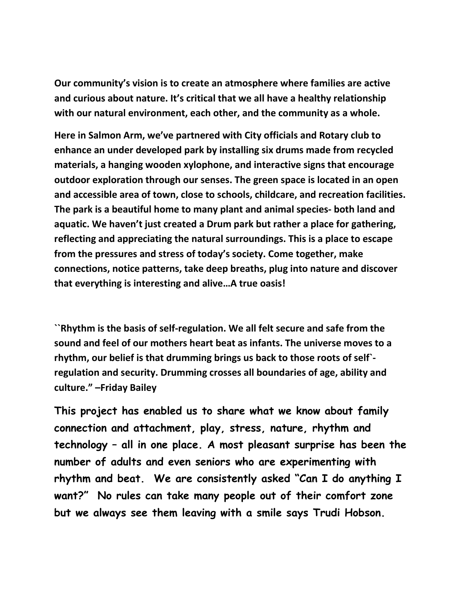**Our community's vision is to create an atmosphere where families are active and curious about nature. It's critical that we all have a healthy relationship with our natural environment, each other, and the community as a whole.** 

**Here in Salmon Arm, we've partnered with City officials and Rotary club to enhance an under developed park by installing six drums made from recycled materials, a hanging wooden xylophone, and interactive signs that encourage outdoor exploration through our senses. The green space is located in an open and accessible area of town, close to schools, childcare, and recreation facilities. The park is a beautiful home to many plant and animal species- both land and aquatic. We haven't just created a Drum park but rather a place for gathering, reflecting and appreciating the natural surroundings. This is a place to escape from the pressures and stress of today's society. Come together, make connections, notice patterns, take deep breaths, plug into nature and discover that everything is interesting and alive…A true oasis!** 

**``Rhythm is the basis of self-regulation. We all felt secure and safe from the sound and feel of our mothers heart beat as infants. The universe moves to a rhythm, our belief is that drumming brings us back to those roots of self` regulation and security. Drumming crosses all boundaries of age, ability and culture." –Friday Bailey** 

**This project has enabled us to share what we know about family connection and attachment, play, stress, nature, rhythm and technology – all in one place. A most pleasant surprise has been the number of adults and even seniors who are experimenting with rhythm and beat. We are consistently asked "Can I do anything I want?" No rules can take many people out of their comfort zone but we always see them leaving with a smile says Trudi Hobson.**